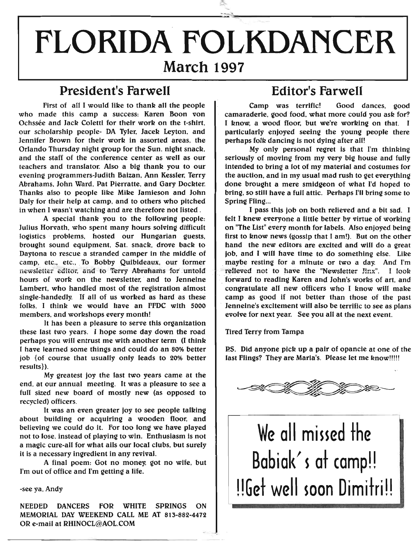# r------------------------------------------------~.~~' ~-------------------------------------- **FLORIDA FOLKDANCER March 1997**

*=:»:*

### **President's Farwell Editor's Farwell**

First of ail I would like to thank all the people who made this camp a success: Karen Boon von Ochssée and Jack Coletti for their work on the t-shirt, our scholarship people- DA Tyler. Jacek Leyton. and Jennifer Brown for their work in assorted areas. the Orlando Thursday night group for the Sun. night snack. and the staff of the conference center as well as our teachers and translator. Also a big thank you to our evening programmers-Judith Balzan. Ann Kessler. Terry Abrahams. John Ward. Pat Pierratte. and Gary Dockter. Thanks also to people like Mike Jamieson and John Daly for their help at camp, and to others who pitched in when I wasn't watching and are therefore not listed.

A special thank you to the following people: Julius Horvath, who spent many hours solving difficult logistics problems. hosted our Hungarian guests, brought sound equipment, Sat. snack, drove back to Daytona to rescue a stranded camper in the middle of camp, etc.. etc.. To Bobby Quibideaux. our former newsletter editor, and to Terry Abrahams for untold hours of work on the newsletter, and to Jenneine Lambert, who handled most of the registration almost single-handedly. If all of us worked as hard as these folks, I think we would have an FFDC with 5000 members, and workshops every month!

It has been a pleasure to serve this organization these last two years. I hope some day down the road perhaps you will entrust me with another term (I think I have learned some things and could do an 80% better job  $\{$ of course that usually only leads to 20% better results}).

My greatest joy the last two years came at the end, at our annual meeting. It was a pleasure to see a full sized new board of mostly new (as opposed to recycled) officers.

It was an even greater joy to see people talking about building or acquiring a wooden floor. and believing we could do it. For too long we have played not to lose, instead of playing to win. Enthusiasm is not a magic cure-all for what ails our local clubs. but surely it is a necessary ingredient in any revival.

A final poem: Got no money. got no wife. but I'm out of office and I'm getting a life.

#### -see ya, Andy

NEEDED DANCERS FOR WHITE SPRINGS ON MEMORIAL DAY WEEKEND CALL ME AT 813-882-4472 OR e-mail at RHINOCL@AOL.COM

Camp was terrific! Good dances, good camaraderie. good food, what more could you *ask* for? I know. a wood floor. but we're working on that. I particularly enjoyed seeing the young people there perhaps folk dancing is not dying after all!

My only personal regret is that I'm thinking seriously of moving from my very big house and fully intended to bring a lot of my material and costumes for the auction, and in my usual mad rush to get everything done brought a mere smldgeon of what I'd hoped to bring. so still have a full attic. Perhaps I'll bring some to Spring Fling...

I pass this job on both relieved and a bit sad. I felt I knew everyone a little better by virtue of working on "The List" every month for labels. Also enjoyed being first to know news (gossip that I am!). But on the other hand the new editors are excited and will do a great job. and I will have time to do something else. Like maybe resting for a minute or two a day. And I'm t~:ieved not to have the "Newsletter Jinx". I *look* forward to reading Karen and John's works of art, and congratulate all new officers who I know will make camp as good if not better than those of the past . Jenneine's excitement will also be terrific to see as plans evolve for next year. See you all at the next event.

Tired Terry from Tampa

P.S. Did anyone pick up a pair of opancie at one of the last Flings? They are Maria's. Please let me know!!!!!



# **We all missed the** Babiak's at camp!! **UGet well soon Dimitri!!**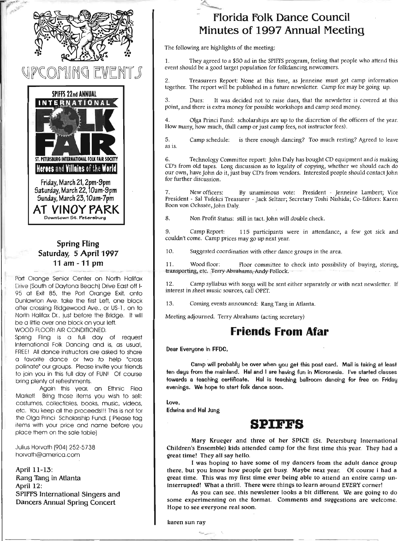

# 11 N G



Downtown St. Petersburg

#### **Spring Fling** Saturday, 5 April 1997 11 am -11 pm

Port Orange Senior Center on North Halifax Drive (South of Daytona Beach) Drive East off 1- 95 at Exit 85, the Port Orange Exit. onto Dunlawton Ave. take the first Left, one block after crossing Ridgewood Ave., or US-1, on to North Halifax Dr., just before the Bridge. It will be a little over one block on your left,

WOOD FLOOR! AIR CONDITIONED,

Spring Fling is a full day of request International Folk Dancing and is, as usual. FREE! All dance instructors are asked to share a favorite dance or two to help "cross pollinote" our groups, Please invite your friends to join you in this full day of FUN! Of course bring plenty of refreshments,

Again this year, an Ethnic Flea Market! Bring those items you wish to sell: costumes, collectibles, books, music, videos, etc. You keep all the proceeds!!! This is not for the Olga Princi Scholarship Fund, ( Please tag items with your price and name before you place them on the sale table)

Julius Horvath (904) 252-5738 horvath@america,com

April 11-13: Rang Tang in Atlanta April 12: SPIFFS International Singers and Dancers Annual Spring Concert

#### florida folk Dance Council Minutes of 1997 Annual Meeting

The following are highlights of the meeting:

1. They agreed to a \$50 ad in the SPIFFS program, feeling that people who attend this event should be a good target population for folkdancing newcomers.

2. Treasurers Report: None at this time, as Jenneine must get camp information together. The report will be published in a future newsletter. Camp fee may be going up,

3. Dues: It was decided not to raise dues, that the newsletter is covered at this point, and there is extra money for possible workshops and camp seed money.

4. Olga Princi Fund: scholarships are up to the discretion of the officers of the year. How many, how much, (full camp or just camp fees, not instructor fees).

5. Camp schedule: is there enough dancing? Too much resting? Agreed to leave as is.

6. Technology Committee report: John Daly has bought CD equipment and is making CD's from old tapes. Long discussion as to legality of copying, whether we should each do our own, have John do it, just buy CD's from vendors. Interested people should contact John for further discussion.

7. New officers: By unamimous vote: President - Jenneine Lambert; Vice President - Sal Tufekci Treasurer - Jack Seltzer; Secretary Toshi Nishida; Co-Editors: Karen Boon von Ochssee, John Daly.

8. Non Profit Status: still in tact. John will double check.

9. Camp Report: 115 participants were in attendance, a few got sick and couldn't come. Camp prices may go up next year.

10. Suggested coordination with other dance zroups in the area.

11. Wood floor: Floor committee to check into possibility of buying, storing, transporting, etc. Terry Abrahams, Andy Pollock.

12. Camp syllabus with songs will be sent either separately or with next newsletter. If interest in sheet music sources, call OPET.

13, Coming events announced: Rang Tang in Atlanta.

Meeting adjourned. Terry Abrahams (acting secretary)

#### **Friends From Afar**

Dear Everyone in FFDC,

Camp will probably be over when you get this post card. Mail is taking at least ten days from the mainland. Hal and I are having fun in Micronesia. I've started classes towards a teaching certificate. Hal is teaching ballroom dancing for free on Friday evenings. We hope to start folk dance soon.

Love.

Edwina and Hal Jung

#### **SPIFFS**

Mary Krueger and three of her SPICE (St. Petersburg International Children's Ensemble) kids attended camp for the first time this year. They had a great time! They all say hello.

I was hoping to have some of my dancers from the adult dance group there, but you know how people get busy. Maybe next year. Of course i had a great time. This was my first time ever being able to attend an entire camp uninterrupted! What a thrill. There were things to learn around EVERY corner!

As you can see, this newsletter looks a bit different. We are going to do some experimenting on the format. Comments and suggestions are welcome. Hope to see everyone real soon.

karen sun ray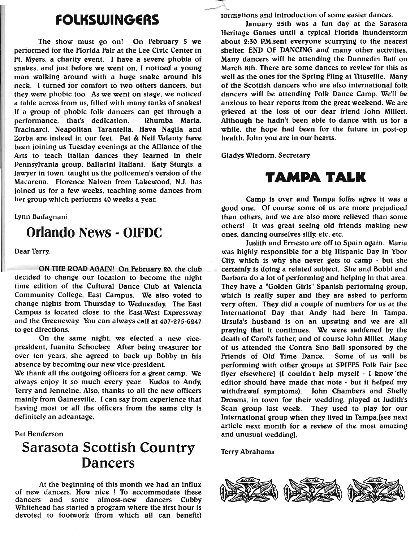### **FOlKSWINGERS**

The show must go on! On February 5 we performed for the Florida Fair at the Lee Civic Center in Ft. Myers. a charity event. I have a severe phobia of snakes. and just before we went on. I noticed a young man walking around with a huge snake around his neck. I turned for comfort to two others dancers. but they were phobic too. As we went on stage. we noticed a table across from us. filled with many tanks of snakes! If a group of phobic folk dancers can get through a performance. that's dedication. Rhumba Maria. Tracinarci, Neapolitan Tarantella. Hava Nagila and Zorba are indeed in our feet. Pat & Neil Valanty have been joining us Tuesday evenings at the Alliance of the Arts to teach Italian dances they learned in their Pennsylvania group. Ballarini Italiani. Katy Sturgis. a lawyer in town. taught us the policemen's version of the Macarena. Florence Nalven from Lakewood. N.J. has joined us for a few weeks. teaching some dances from her group which performs 40 weeks a year.

Lynn Badagnani

### **Orlando News - OIFDC**

Dear Terry.

ON THE ROAD AGAIN! On February 20, the club decided to change our location to become the night time edition of the Cultural Dance Club at Valencia Community College. East Campus. We also voted to change nights from Thursday to Wednesday. The East Campus is located close to the East-West Expressway and the Greeneway. Youcan always call at 407-275-6247 to get directions.

On the same night. we elected a new vicepresident. Juanita Schockey. After being treasurer for over ten years. she agreed to back up Bobby in his absence by becoming our new vice-president.

We thank all the outgoing officers for a great camp. We always enjoy it so much every year. Kudos to Andy. Terry and Jenneine. Also. thanks to all the new officers mainly from Gainesville. I can say from experience that having most or all the officers from the same city is definitely an advantage.

#### Pat Henderson

## **Sarasota Scottish Country Dancers**

At the beginning of this month we had an influx of new dancers. How nice ! To accommodate these dancers and some almost-new dancers Cubby Whitehead has started a program where the first hour is devoted to footwork (from which all can benefit)

tormations and introduction of some easier dances.

January 25th was a fun day at the Sarasota Heritage Games until a typical Florida thunderstorm about 2:30 P.M.sent everyone scurrying to the nearest shelter. END OF DANCING and many other activities. Many dancers will be attending the Dunnedin Ball on March 8th. There are some dances to review for this as well as the ones for the Spring Fling at Titusville. Many of the Scottish dancers who are also international folk dancers will be attending Folk Dance Camp. We'll be anxious to hear reports from the great weekend. We are grieved at the loss of our dear friend John Millett. Although he hadn't been able to dance with us for a while. the hope had been for the future in post-op health. John you are in our hearts.

GladysWiedorn. Secretary

 $\overline{\phantom{a}}$ 

# TAMPA TALK

Camp is over and Tampa folks agree it was a good one. Of course some of us are more prejudiced than others. and we are also more relieved than some others! It was great seeing old friends making new ones. dancing ourselves silly.etc. etc.

Judith and Ernesto are off to Spain again. Maria was highly responsible for a big Hispanic Day in Ybor City. which is why she never gets to camp - but she certainly is doing a related subject. She and Bobbi and Barbara do a lot of performing and helping in that area. They have a "Golden Girls" Spanish performing group. which is really super and they are asked to perform very often. They did a couple of numbers for us at the International Day that Andy had here in Tampa. Ursula's husband is on an upswing and we are all praying that it continues. We were saddened by the death of Carol's father. and of course John Millet. Many of us attended the Contra Sno Ball sponsored by the Friends of Old Time Dance. Some of us will be performing with other groups at SPIFFS Folk Fair [see flyer elsewhere] (I couldn't help myself - I know 'the editor should have made that note - but it helped my withdrawal symptoms). John Chambers and Shelly Drowns. in town for their wedding. played at Judith's Scan group last week. They used to play for our International group when they lived in Tampa.[see next article next month for a review of the most amazing and unusual wedding).

Terry Abrahams